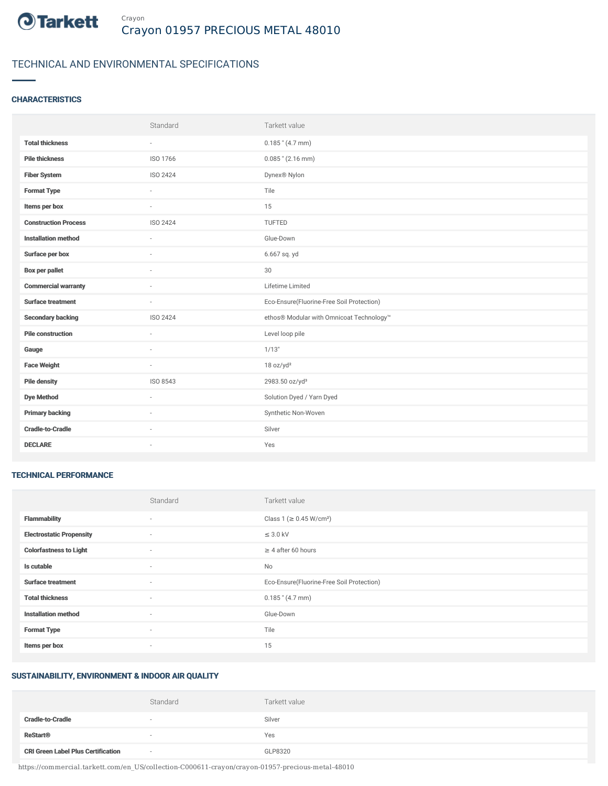

# TECHNICAL AND ENVIRONMENTAL SPECIFICATIONS

## **CHARACTERISTICS**

|                             | Standard                 | Tarkett value                             |
|-----------------------------|--------------------------|-------------------------------------------|
| <b>Total thickness</b>      | $\overline{\phantom{a}}$ | $0.185$ " (4.7 mm)                        |
| <b>Pile thickness</b>       | ISO 1766                 | $0.085$ " (2.16 mm)                       |
| <b>Fiber System</b>         | ISO 2424                 | Dynex <sup>®</sup> Nylon                  |
| <b>Format Type</b>          | $\sim$                   | Tile                                      |
| Items per box               | $\sim$                   | 15                                        |
| <b>Construction Process</b> | ISO 2424                 | TUFTED                                    |
| <b>Installation method</b>  | $\sim$                   | Glue-Down                                 |
| Surface per box             | $\sim$                   | 6.667 sq. yd                              |
| <b>Box per pallet</b>       | $\overline{\phantom{a}}$ | 30                                        |
| <b>Commercial warranty</b>  |                          | Lifetime Limited                          |
| <b>Surface treatment</b>    | $\sim$                   | Eco-Ensure(Fluorine-Free Soil Protection) |
| <b>Secondary backing</b>    | ISO 2424                 | ethos® Modular with Omnicoat Technology™  |
| <b>Pile construction</b>    | $\sim$                   | Level loop pile                           |
| Gauge                       |                          | 1/13"                                     |
| <b>Face Weight</b>          | $\overline{\phantom{a}}$ | 18 oz/yd <sup>2</sup>                     |
| <b>Pile density</b>         | ISO 8543                 | 2983.50 oz/yd <sup>3</sup>                |
| <b>Dye Method</b>           | $\sim$                   | Solution Dyed / Yarn Dyed                 |
| <b>Primary backing</b>      |                          | Synthetic Non-Woven                       |
| <b>Cradle-to-Cradle</b>     | $\sim$                   | Silver                                    |
| <b>DECLARE</b>              | ٠                        | Yes                                       |

## TECHNICAL PERFORMANCE

|                                 | Standard | Tarkett value                             |
|---------------------------------|----------|-------------------------------------------|
| <b>Flammability</b>             | $\sim$   | Class 1 (≥ 0.45 W/cm <sup>2</sup> )       |
| <b>Electrostatic Propensity</b> | $\sim$   | $\leq$ 3.0 kV                             |
| <b>Colorfastness to Light</b>   | $\sim$   | $\geq$ 4 after 60 hours                   |
| Is cutable                      | $\sim$   | <b>No</b>                                 |
| <b>Surface treatment</b>        | $\sim$   | Eco-Ensure(Fluorine-Free Soil Protection) |
| <b>Total thickness</b>          | $\sim$   | $0.185$ " (4.7 mm)                        |
| <b>Installation method</b>      | $\sim$   | Glue-Down                                 |
| <b>Format Type</b>              | $\sim$   | Tile                                      |
| Items per box                   | $\sim$   | 15                                        |

## SUSTAINABILITY, ENVIRONMENT & INDOOR AIR QUALITY

|                                           | Standard | Tarkett value |
|-------------------------------------------|----------|---------------|
| <b>Cradle-to-Cradle</b>                   | $\sim$   | Silver        |
| <b>ReStart®</b>                           | $\sim$   | Yes           |
| <b>CRI Green Label Plus Certification</b> | $\sim$   | GLP8320       |

https://commercial.tarkett.com/en\_US/collection-C000611-crayon/crayon-01957-precious-metal-48010